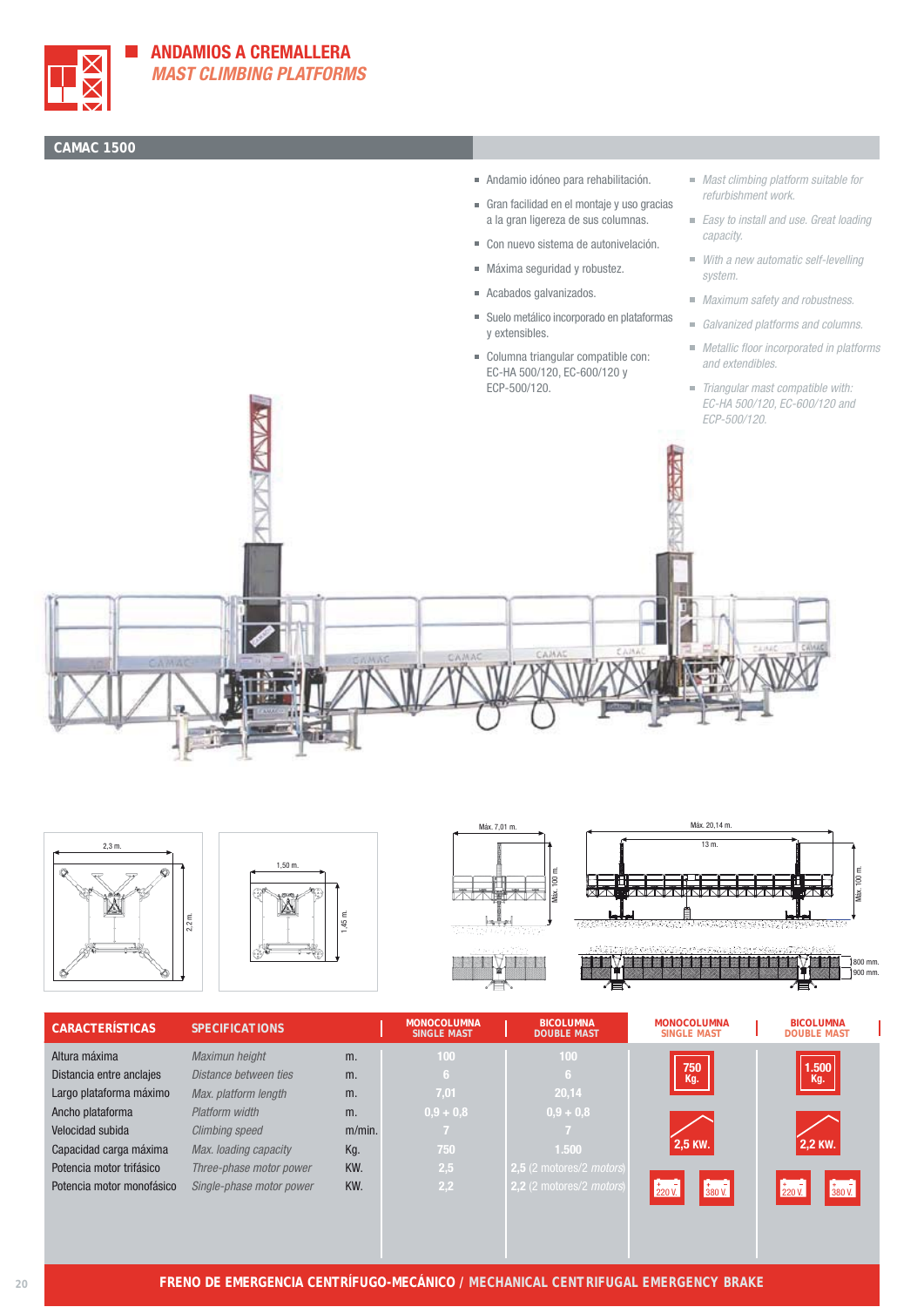

## **CAMAC 1500**

- Andamio idóneo para rehabilitación.
- Gran facilidad en el montaje y uso gracias a la gran ligereza de sus columnas.
- Con nuevo sistema de autonivelación.
- Máxima seguridad y robustez.
- Acabados galvanizados.
- Suelo metálico incorporado en plataformas y extensibles.
- Columna triangular compatible con: EC-HA 500/120, EC-600/120 y
- Mast climbing platform suitable for refurbishment work.
- Easy to install and use. Great loading capacity.
- With a new automatic self-levelling system.
- **Maximum safety and robustness.**
- Galvanized platforms and columns.
- Metallic floor incorporated in platforms and extendibles.
- Triangular mast compatible with: EC-HA 500/120, EC-600/120 and ECP-500/120.











| <b>CARACTERÍSTICAS</b>    | <b>SPECIFICATIONS</b>    |           | <b>MONOCOLUMNA</b><br><b>SINGLE MAST</b> | <b>BICOLUMNA</b><br><b>DOUBLE MAST</b> | <b>MONOCOLUMNA</b><br><b>SINGLE MAST</b>                       | <b>BICOLUMNA</b><br><b>DOUBLE MAST</b>                                   |
|---------------------------|--------------------------|-----------|------------------------------------------|----------------------------------------|----------------------------------------------------------------|--------------------------------------------------------------------------|
| Altura máxima             | Maximun height           | m.        | 100                                      | 100                                    |                                                                |                                                                          |
| Distancia entre anclajes  | Distance between ties    | m.        | 167                                      | -6                                     | 750<br>Kg.                                                     | 1.500<br>Kg.                                                             |
| Largo plataforma máximo   | Max. platform length     | m.        | 7,01                                     | 20,14                                  |                                                                |                                                                          |
| Ancho plataforma          | Platform width           | m.        | $0,9 + 0,8$                              | $0,9 + 0,8$                            |                                                                |                                                                          |
| Velocidad subida          | <b>Climbing speed</b>    | $m/min$ . | 67                                       |                                        |                                                                |                                                                          |
| Capacidad carga máxima    | Max. loading capacity    | Kg.       | 750                                      | 1.500                                  | 2,5 KW.                                                        | 2,2 KW.                                                                  |
| Potencia motor trifásico  | Three-phase motor power  | KW.       | 2,5                                      | 2,5 (2 motores/2 <i>motors</i> )       |                                                                |                                                                          |
| Potencia motor monofásico | Single-phase motor power | KW.       | $\overline{2,2}$                         | 2,2 (2 motores/2 <i>motors</i> )       | $\begin{array}{c} 1.7 \\ 380 \text{ V.} \end{array}$<br>220 V. | $\begin{array}{c} 1 \overline{1} \\ 380 \text{ V.} \end{array}$<br>220V. |
|                           |                          |           |                                          |                                        |                                                                |                                                                          |
|                           |                          |           |                                          |                                        |                                                                |                                                                          |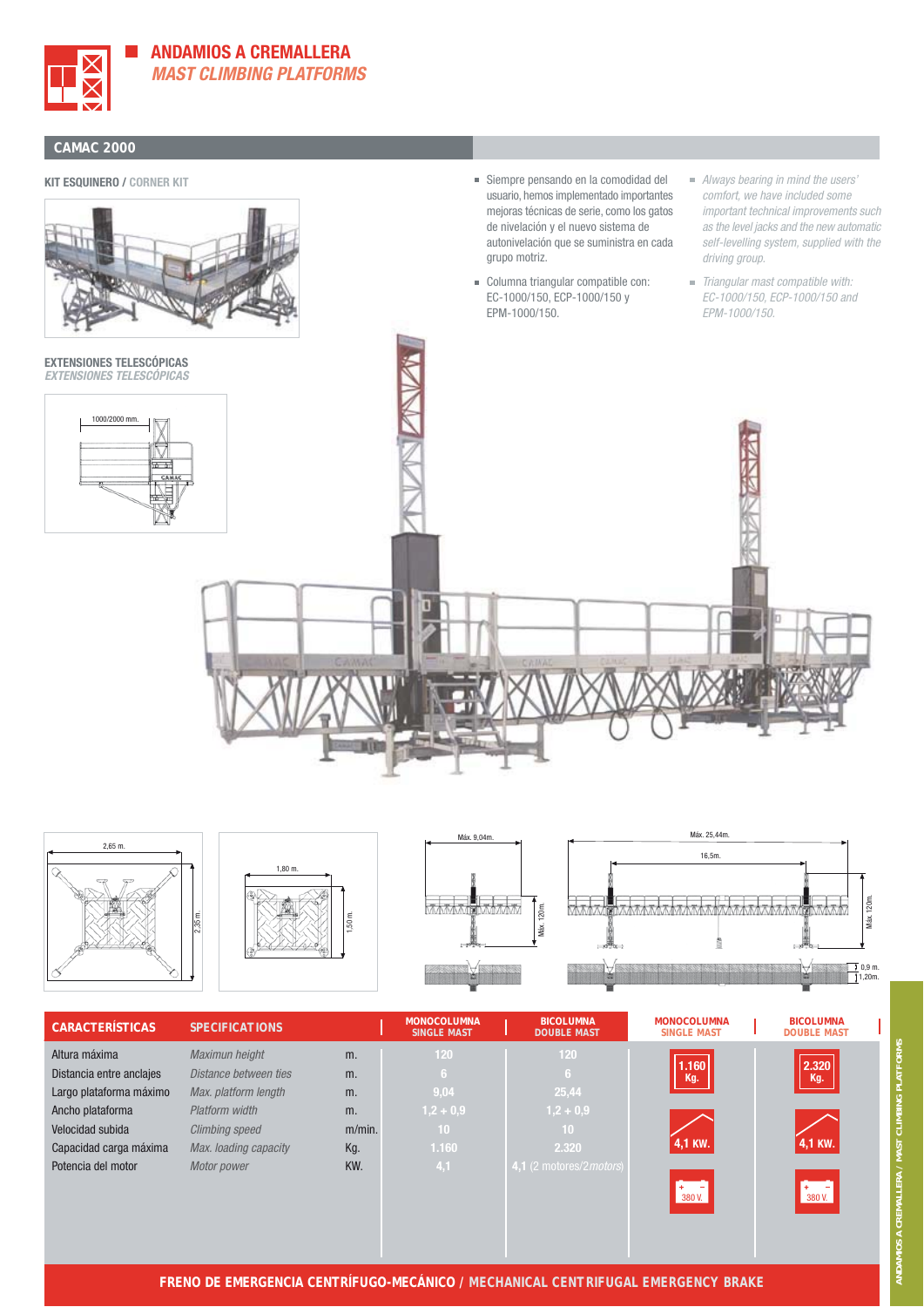

**ANDAMIOS A CREMALLERA MAST CLIMBING PLATFORMS**

#### **CAMAC 2000**

#### **KIT ESQUINERO / CORNER KIT**



**EXTENSIONES TELESCÓPICAS EXTENSIONES TELESCÓPICAS**



- Siempre pensando en la comodidad del usuario, hemos implementado importantes mejoras técnicas de serie, como los gatos de nivelación y el nuevo sistema de autonivelación que se suministra en cada grupo motriz.
- Columna triangular compatible con: EC-1000/150, ECP-1000/150 y EPM-1000/150.
- Always bearing in mind the users' comfort, we have included some important technical improvements such as the level jacks and the new automatic self-levelling system, supplied with the driving group.
- Triangular mast compatible with: EC-1000/150, ECP-1000/150 and EPM-1000/150.





| <b>CARACTERÍSTICAS</b>   | <b>SPECIFICATIONS</b> |           | <b>MONOCOLUMNA</b><br><b>SINGLE MAST</b> | <b>BICOLUMNA</b><br><b>DOUBLE MAST</b>    | <b>MONOCOLUMNA</b><br><b>SINGLE MAST</b> | <b>BICOLUMNA</b><br><b>DOUBLE MAST</b> |  |
|--------------------------|-----------------------|-----------|------------------------------------------|-------------------------------------------|------------------------------------------|----------------------------------------|--|
| Altura máxima            | Maximun height        | m.        | 120                                      | 120                                       |                                          |                                        |  |
| Distancia entre anclajes | Distance between ties | m.        | 6                                        | -6                                        | 1.160<br>Kg.                             | 2.320<br>Kg.                           |  |
| Largo plataforma máximo  | Max. platform length  | m.        | 9,04                                     | 25,44                                     |                                          |                                        |  |
| Ancho plataforma         | Platform width        | m.        | $1,2 + 0,9$                              | $1,2 + 0,9$                               |                                          |                                        |  |
| Velocidad subida         | <b>Climbing speed</b> | $m/min$ . | 10                                       | 10                                        |                                          |                                        |  |
| Capacidad carga máxima   | Max. loading capacity | Kg.       | 1.160                                    | 2.320                                     | 4,1 KW.                                  | 4,1 KW.                                |  |
| Potencia del motor       | Motor power           | KW.       | 4,1                                      | 4,1 $(2 \text{ motores}/2 \text{motors})$ |                                          |                                        |  |
|                          |                       |           |                                          |                                           | $+$ -<br>380 V.                          |                                        |  |
|                          |                       |           |                                          |                                           |                                          | 380 V.                                 |  |
|                          |                       |           |                                          |                                           |                                          |                                        |  |
|                          |                       |           |                                          |                                           |                                          |                                        |  |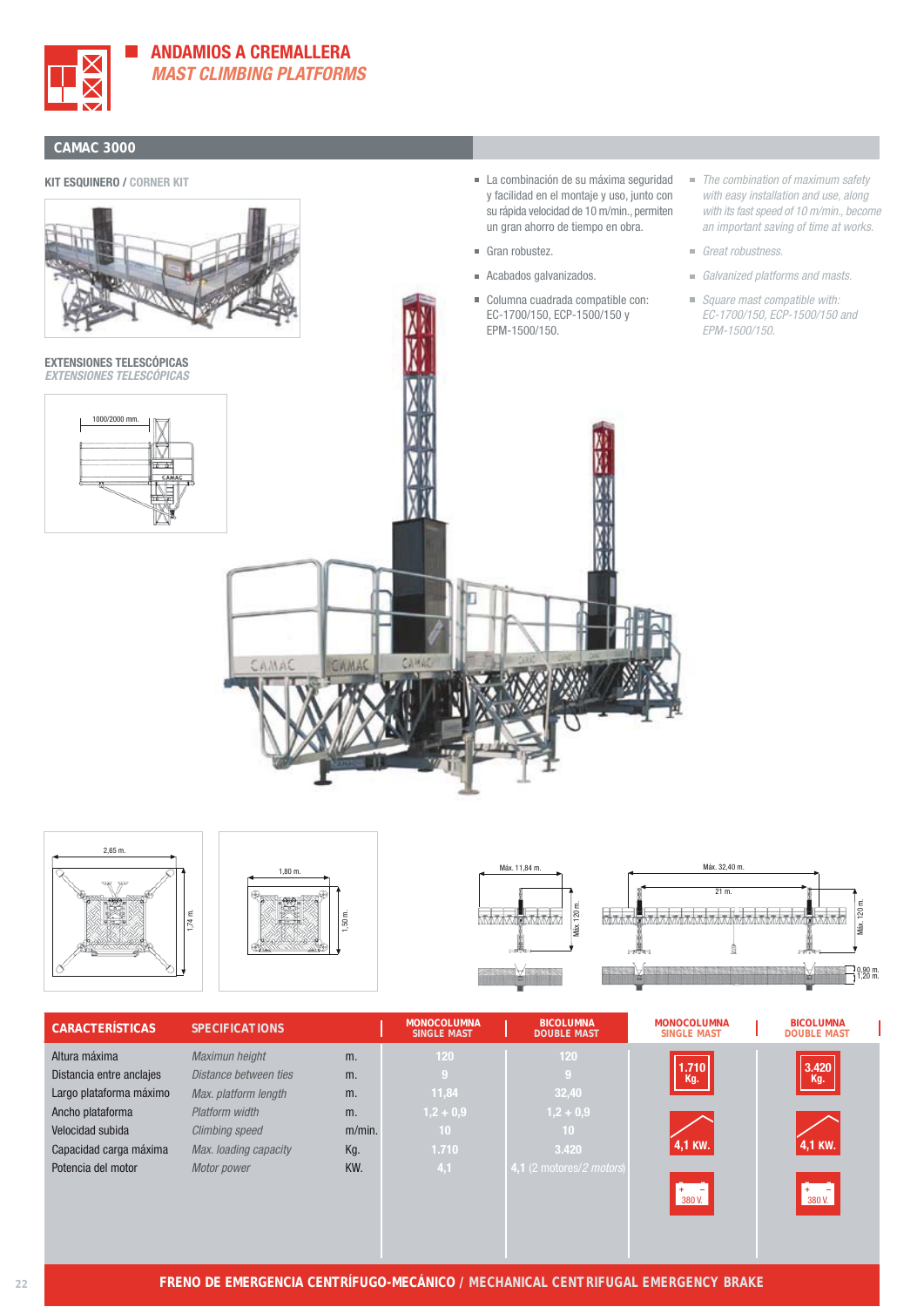

### **ANDAMIOS A CREMALLERA MAST CLIMBING PLATFORMS**

#### **CAMAC 3000**

#### **KIT ESQUINERO / CORNER KIT**



**EXTENSIONES TELESCÓPICAS EXTENSIONES TELESCÓPICAS**



- La combinación de su máxima seguridad y facilidad en el montaje y uso, junto con su rápida velocidad de 10 m/min., permiten un gran ahorro de tiempo en obra.
- Gran robustez.
- Acabados galvanizados.
- Columna cuadrada compatible con: EC-1700/150, ECP-1500/150 y EPM-1500/150.
- The combination of maximum safety with easy installation and use, along with its fast speed of 10 m/min., become an important saving of time at works.
- Great robustness.
- Galvanized platforms and masts.
- Square mast compatible with: EC-1700/150, ECP-1500/150 and EPM-1500/150.











 $\frac{120 \text{ m}}{20 \text{ m}}$ 

H

| <b>CARACTERÍSTICAS</b>   | <b>SPECIFICATIONS</b> |           | <b>MONOCOLUMNA</b><br><b>SINGLE MAST</b> | <b>BICOLUMNA</b><br><b>DOUBLE MAST</b>     | <b>MONOCOLUMNA</b><br><b>SINGLE MAST</b> | <b>BICOLUMNA</b><br><b>DOUBLE MAST</b>                                          |
|--------------------------|-----------------------|-----------|------------------------------------------|--------------------------------------------|------------------------------------------|---------------------------------------------------------------------------------|
| Altura máxima            | Maximun height        | m.        | 120                                      | 120                                        |                                          |                                                                                 |
| Distancia entre anclajes | Distance between ties | m.        | -9                                       | -9                                         | 1.710<br>Kg.                             | 3.420<br>Kg.                                                                    |
| Largo plataforma máximo  | Max. platform length  | m.        | 11,84                                    | 32,40                                      |                                          |                                                                                 |
| Ancho plataforma         | Platform width        | m.        | $1,2 + 0,9$                              | $1,2 + 0,9$                                |                                          |                                                                                 |
| Velocidad subida         | <b>Climbing speed</b> | $m/min$ . | 10                                       | 10                                         |                                          |                                                                                 |
| Capacidad carga máxima   | Max. loading capacity | Kg.       | 1.710                                    | 3.420                                      | 4,1 KW.                                  | 4,1 KW.                                                                         |
| Potencia del motor       | Motor power           | KW.       | 4,1                                      | 4,1 $(2 \text{ motores}/2 \text{ motors})$ |                                          |                                                                                 |
|                          |                       |           |                                          |                                            | $+ -$<br>380 V.                          | $\begin{array}{ c c } \hline + & - \\ \hline 380 \text{ V.} \hline \end{array}$ |
|                          |                       |           |                                          |                                            |                                          |                                                                                 |
|                          |                       |           |                                          |                                            |                                          |                                                                                 |
|                          |                       |           |                                          |                                            |                                          |                                                                                 |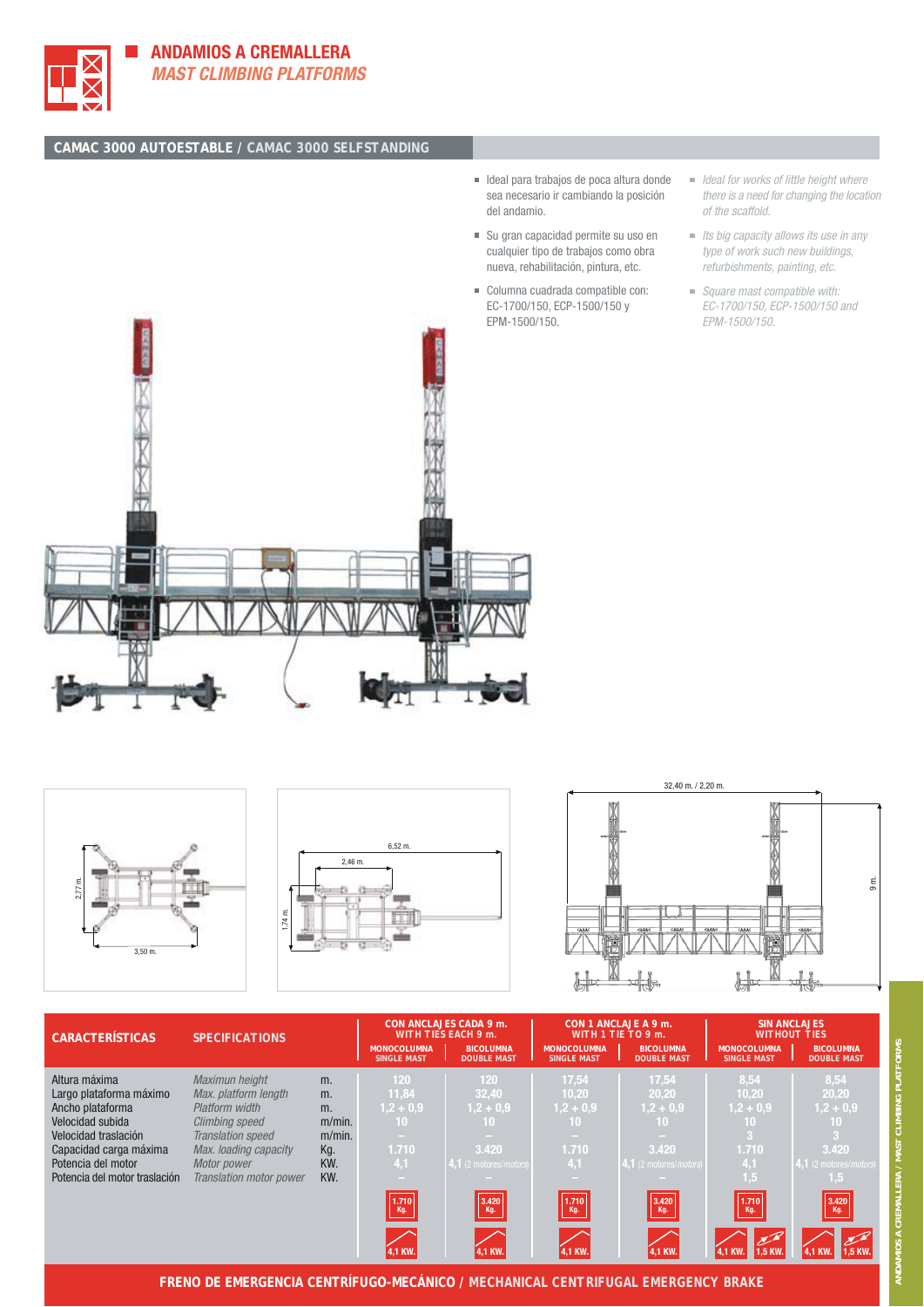





- $\blacksquare$  Its big capacity allows its use in any type of work such new buildings, refurbishments, painting, etc.
- Square mast compatible with: EC-1700/150, ECP-1500/150 and EPM-1500/150.







| <b>CARACTERÍSTICAS</b>        | <b>SPECIFICATIONS</b>          |           | <b>MONOCOLUMNA</b><br><b>SINGLE MAST</b> | CON ANCLAJES CADA 9 m.<br><b>WITH TIES EACH 9 m.</b><br><b>BICOLUMNA</b><br><b>DOUBLE MAST</b> | <b>MONOCOLUMNA</b><br><b>SINGLE MAST</b>            | CON 1 ANCLAJE A 9 m.<br>WITH 1 TIE TO 9 $m$ .<br><b>BICOLUMNA</b><br><b>DOUBLE MAST</b> | <b>MONOCOLUMNA</b><br><b>SINGLE MAST</b> | <b>SIN ANCLAJES</b><br><b>WITHOUT TIES</b><br><b>BICOLUMNA</b><br><b>DOUBLE MAST</b> |
|-------------------------------|--------------------------------|-----------|------------------------------------------|------------------------------------------------------------------------------------------------|-----------------------------------------------------|-----------------------------------------------------------------------------------------|------------------------------------------|--------------------------------------------------------------------------------------|
| Altura máxima                 | Maximun height                 | m.        | 120                                      | 120                                                                                            | 17,54                                               | 17,54                                                                                   | 8,54                                     | 8,54                                                                                 |
| Largo plataforma máximo       | Max. platform length           | m.        | 11,84                                    | 32,40                                                                                          | 10.20                                               | 20,20                                                                                   | 10,20                                    | 20,20                                                                                |
| Ancho plataforma              | Platform width                 | m.        | $1,2 + 0,9$                              | $1,2 + 0,9$                                                                                    | $1,2 + 0,9$                                         | $1,2 + 0,9$                                                                             | $1,2 + 0,9$                              | $1,2 + 0,9$                                                                          |
| Velocidad subida              | <b>Climbing speed</b>          | $m/min$ . | 10 <sup>1</sup>                          | 10                                                                                             | 10.                                                 | 10                                                                                      | 10                                       | 10 <sub>1</sub>                                                                      |
| Velocidad traslación          | <b>Translation speed</b>       | $m/min$ . | $\sim$                                   |                                                                                                | <b>Contract</b>                                     |                                                                                         |                                          | $\overline{3}$                                                                       |
| Capacidad carga máxima        | Max. loading capacity          | Kg.       | 1.710                                    | 3.420                                                                                          | 1.710                                               | 3.420                                                                                   | 1.710                                    | 3.420                                                                                |
| Potencia del motor            | Motor power                    | KW.       | 4,1                                      | 4.1 (2 motores/motors)                                                                         | 4,1                                                 | 4,1 (2 motores/motors)                                                                  | 4,1                                      | 4,1 (2 motores/motors)                                                               |
| Potencia del motor traslación | <b>Translation motor power</b> | KW.       |                                          |                                                                                                |                                                     |                                                                                         | 1.5                                      | 1,5                                                                                  |
|                               |                                |           | $\frac{1.710}{\text{Kg.}}$               | $\left  \begin{array}{c} 3.420 \\ \text{Kg.} \end{array} \right $                              | $\begin{bmatrix} 1.710 \\ \text{Kg.} \end{bmatrix}$ | $\begin{array}{ c }3.420\hline\text{Kg.} \end{array}$                                   | 1.710 <br>Kg.                            | $\begin{array}{ c } \hline 3.420 \\ \hline \text{Kg.} \hline \end{array}$            |
|                               |                                |           | 1,1 KW.                                  | 4,1 KW.                                                                                        | 4,1 KW.                                             | <b>4,1 KW</b>                                                                           |                                          |                                                                                      |